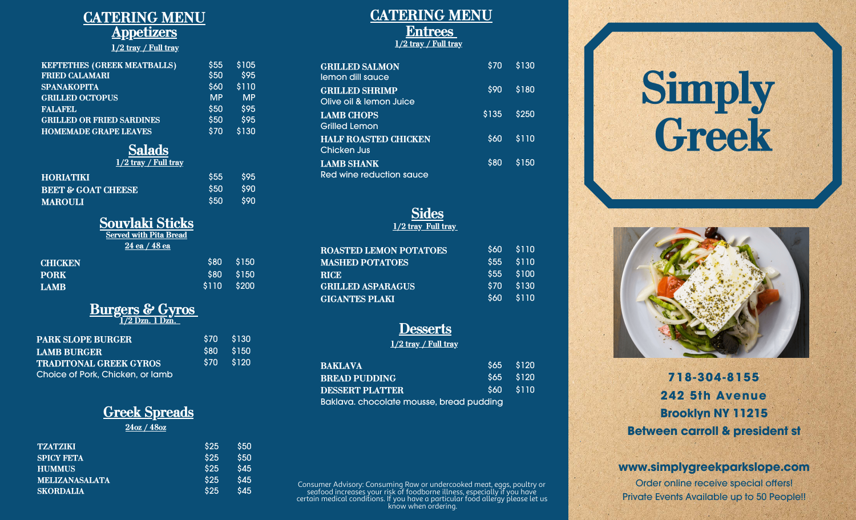### **CATERING MENU Appetizers 1/2 tray / Full tray**

| <b>KEFTETHES (GREEK MEATBALLS)</b> | \$55      | \$105     |
|------------------------------------|-----------|-----------|
| <b>FRIED CALAMARI</b>              | \$50      | \$95      |
| <b>SPANAKOPITA</b>                 | \$60      | \$110     |
| <b>GRILLED OCTOPUS</b>             | <b>MP</b> | <b>MP</b> |
| <b>FALAFEL</b>                     | \$50      | \$95      |
| <b>GRILLED OR FRIED SARDINES</b>   | \$50      | \$95      |
| <b>HOMEMADE GRAPE LEAVES</b>       | \$70      | \$130     |

#### **Salads 1/2 tray / Full tray**

| $\frac{1}{2}$ = $\frac{1}{2}$ $\frac{1}{2}$ $\frac{1}{2}$ $\frac{1}{2}$ $\frac{1}{2}$ $\frac{1}{2}$ $\frac{1}{2}$ |            |            |
|-------------------------------------------------------------------------------------------------------------------|------------|------------|
| <b>HORIATIKI</b>                                                                                                  | <b>S55</b> | <b>S95</b> |
| <b>BEET &amp; GOAT CHEESE</b>                                                                                     | <b>S50</b> | .s90       |
| <b>MAROULI</b>                                                                                                    | <b>S50</b> | .s90       |

## **Souvlaki Sticks**

| <b>Served with Pita Bread</b> |       |       |
|-------------------------------|-------|-------|
| $24$ ea / $48$ ea             |       |       |
| <b>CHICKEN</b>                | \$80  | \$150 |
| <b>PORK</b>                   | \$80  | \$150 |
| LAMB                          | \$110 | \$200 |

# **Burgers & Gyros**

|  | $1/2$ Dzn. $1$ Dzn. |
|--|---------------------|
|  |                     |

| <b>PARK SLOPE BURGER</b>         | \$70 \$130 |
|----------------------------------|------------|
| <b>LAMB BURGER</b>               | \$80 \$150 |
| <b>TRADITONAL GREEK GYROS</b>    | \$70 \$120 |
| Choice of Pork, Chicken, or lamb |            |

# **Greek Spreads**

#### **24oz / 48oz**

| <b>TZATZIKI</b>       | <b>S25</b> | <b>S50</b> |
|-----------------------|------------|------------|
| <b>SPICY FETA</b>     | \$25       | <b>S50</b> |
| <b>HUMMUS</b>         | \$25       | \$45       |
| <b>MELIZANASALATA</b> | \$25       | \$45       |
| <b>SKORDALIA</b>      | \$25       | \$45       |

#### **CATERING MENU Entrees 1/2 tray / Full tray**

| <b>GRILLED SALMON</b><br>lemon dill squce        | \$70  | \$130             |
|--------------------------------------------------|-------|-------------------|
| <b>GRILLED SHRIMP</b><br>Olive oil & lemon Juice | \$90  | \$180             |
| <b>LAMB CHOPS</b><br>Grilled Lemon               | \$135 | \$250             |
| <b>HALF ROASTED CHICKEN</b><br>Chicken Jus       | \$60  | $\frac{1}{3}$ 110 |
| <b>LAMB SHANK</b><br>Red wine reduction squce    | \$80  | \$150             |

#### **Sides 1/2 tray Full tray**

| <b>ROASTED LEMON POTATOES</b> | <b>S60</b> | \$110 |
|-------------------------------|------------|-------|
| <b>MASHED POTATOES</b>        | \$55       | \$110 |
| <b>RICE</b>                   | <b>S55</b> | \$100 |
| <b>GRILLED ASPARAGUS</b>      | \$70       | \$130 |
| <b>GIGANTES PLAKI</b>         | \$60       | \$110 |

### **Desserts**

**1/2 tray / Full tray**

| BAKLAVA                                  | $$65$ $$120$ |
|------------------------------------------|--------------|
| BREAD PUDDING                            | \$65 \$120   |
| DESSERT PLATTER                          | $560 - 5110$ |
| Baklava. chocolate mousse, bread pudding |              |

Consumer Advisory: Consuming Raw or undercooked meat, eggs, poultry or seafood increases your risk of foodborne illness, especially if you have certain medical conditions. If you have a particular food allergy please let us know when ordering.





# **718-304-8155 242 5th Avenue Brooklyn NY 11215 Between carroll & president st**

#### **www.simplygreekparkslope.com**

Order online receive special offers! Private Events Available up to 50 People!!